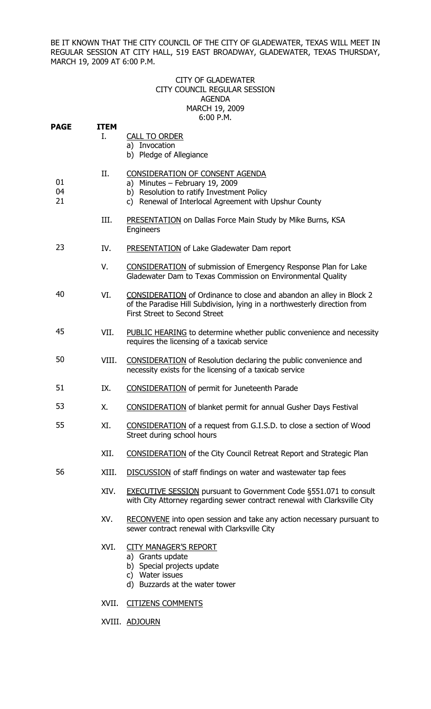BE IT KNOWN THAT THE CITY COUNCIL OF THE CITY OF GLADEWATER, TEXAS WILL MEET IN REGULAR SESSION AT CITY HALL, 519 EAST BROADWAY, GLADEWATER, TEXAS THURSDAY, MARCH 19, 2009 AT 6:00 P.M.

## CITY OF GLADEWATER CITY COUNCIL REGULAR SESSION AGENDA MARCH 19, 2009 6:00 P.M.

| <b>PAGE</b>    | <b>ITEM</b><br>Ι. | <b>CALL TO ORDER</b><br>a) Invocation<br>b) Pledge of Allegiance                                                                                                                  |
|----------------|-------------------|-----------------------------------------------------------------------------------------------------------------------------------------------------------------------------------|
| 01<br>04<br>21 | II.               | CONSIDERATION OF CONSENT AGENDA<br>a) Minutes $-$ February 19, 2009<br>b) Resolution to ratify Investment Policy<br>c) Renewal of Interlocal Agreement with Upshur County         |
|                | III.              | <b>PRESENTATION</b> on Dallas Force Main Study by Mike Burns, KSA<br>Engineers                                                                                                    |
| 23             | IV.               | <b>PRESENTATION</b> of Lake Gladewater Dam report                                                                                                                                 |
|                | V.                | <b>CONSIDERATION</b> of submission of Emergency Response Plan for Lake<br>Gladewater Dam to Texas Commission on Environmental Quality                                             |
| 40             | VI.               | CONSIDERATION of Ordinance to close and abandon an alley in Block 2<br>of the Paradise Hill Subdivision, lying in a northwesterly direction from<br>First Street to Second Street |
| 45             | VII.              | PUBLIC HEARING to determine whether public convenience and necessity<br>requires the licensing of a taxicab service                                                               |
| 50             | VIII.             | <b>CONSIDERATION</b> of Resolution declaring the public convenience and<br>necessity exists for the licensing of a taxicab service                                                |
| 51             | IX.               | <b>CONSIDERATION</b> of permit for Juneteenth Parade                                                                                                                              |
| 53             | Χ.                | <b>CONSIDERATION</b> of blanket permit for annual Gusher Days Festival                                                                                                            |
| 55             | XI.               | <b>CONSIDERATION</b> of a request from G.I.S.D. to close a section of Wood<br>Street during school hours                                                                          |
|                | XII.              | <b>CONSIDERATION</b> of the City Council Retreat Report and Strategic Plan                                                                                                        |
| 56             | XIII.             | <b>DISCUSSION</b> of staff findings on water and wastewater tap fees                                                                                                              |
|                | XIV.              | <b>EXECUTIVE SESSION</b> pursuant to Government Code §551.071 to consult<br>with City Attorney regarding sewer contract renewal with Clarksville City                             |
|                | XV.               | RECONVENE into open session and take any action necessary pursuant to<br>sewer contract renewal with Clarksville City                                                             |
|                | XVI.              | <b>CITY MANAGER'S REPORT</b><br>a) Grants update<br>b) Special projects update<br>c) Water issues<br>d) Buzzards at the water tower                                               |
|                | XVII.             | <b>CITIZENS COMMENTS</b>                                                                                                                                                          |

XVIII. ADJOURN